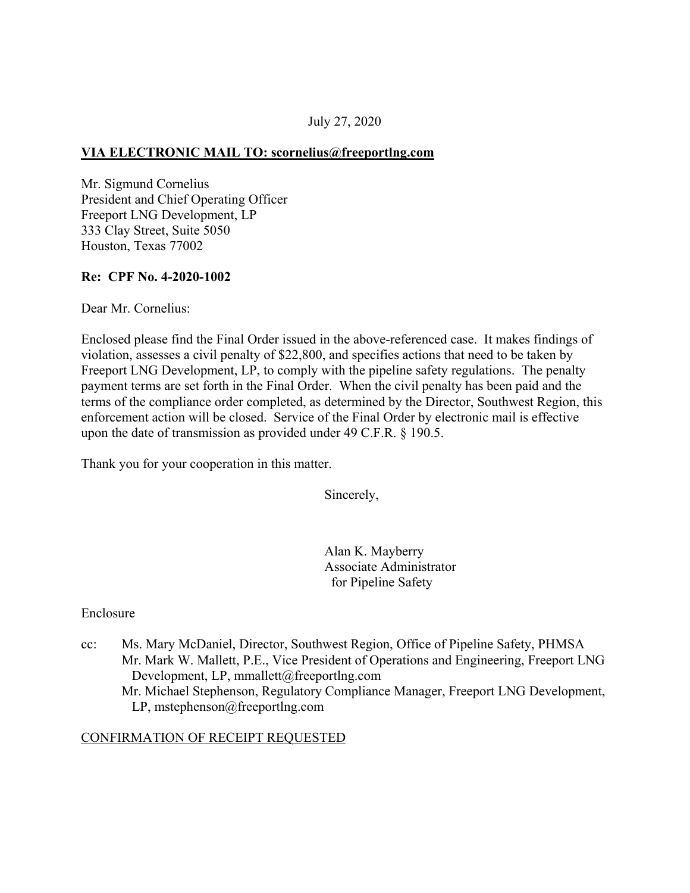## July 27, 2020

#### **VIA ELECTRONIC MAIL TO: [scornelius@freeportlng.com](mailto:scornelius@freeportlng.com)**

Mr. Sigmund Cornelius President and Chief Operating Officer Freeport LNG Development, LP 333 Clay Street, Suite 5050 Houston, Texas 77002

#### **Re: CPF No. 4-2020-1002**

Dear Mr. Cornelius:

Enclosed please find the Final Order issued in the above-referenced case. It makes findings of violation, assesses a civil penalty of \$22,800, and specifies actions that need to be taken by Freeport LNG Development, LP, to comply with the pipeline safety regulations. The penalty payment terms are set forth in the Final Order. When the civil penalty has been paid and the terms of the compliance order completed, as determined by the Director, Southwest Region, this enforcement action will be closed. Service of the Final Order by electronic mail is effective upon the date of transmission as provided under 49 C.F.R. § 190.5.

Thank you for your cooperation in this matter.

Sincerely,

Alan K. Mayberry Associate Administrator for Pipeline Safety

#### Enclosure

cc: Ms. Mary McDaniel, Director, Southwest Region, Office of Pipeline Safety, PHMSA Mr. Mark W. Mallett, P.E., Vice President of Operations and Engineering, Freeport LNG Development, LP, [mmallett@freeportlng.com](mailto:mmallett@freeportlng.com) Mr. Michael Stephenson, Regulatory Compliance Manager, Freeport LNG Development, LP, [mstephenson@freeportlng.com](mailto:mstephenson@freeportlng.com) 

#### CONFIRMATION OF RECEIPT REQUESTED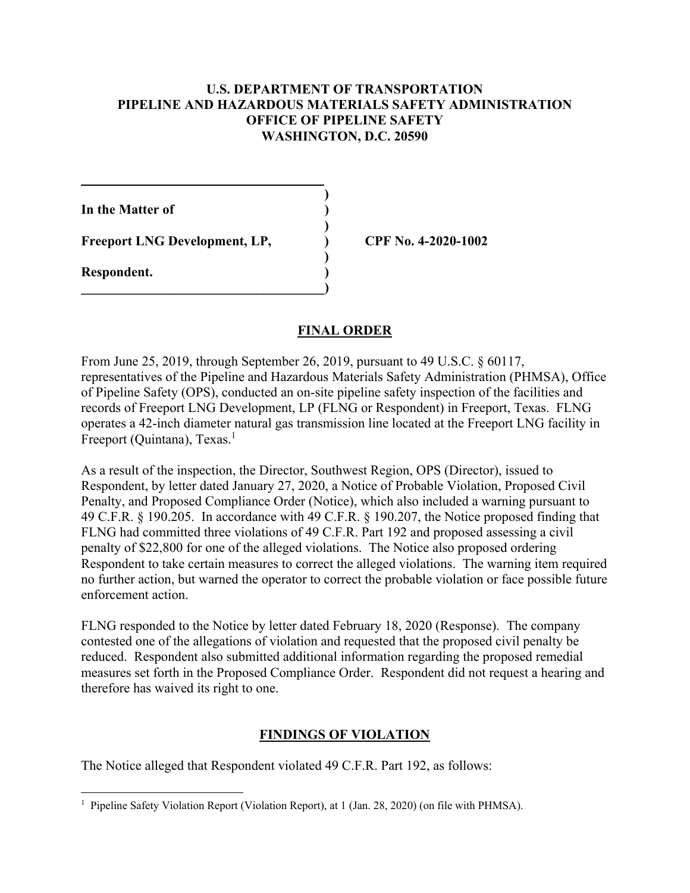#### **U.S. DEPARTMENT OF TRANSPORTATION PIPELINE AND HAZARDOUS MATERIALS SAFETY ADMINISTRATION OFFICE OF PIPELINE SAFETY WASHINGTON, D.C. 20590**

**)** 

**)** 

**In the Matter of )** 

Freeport LNG Development, LP, CPF No. 4-2020-1002

 **)** 

 $\overline{\phantom{a}}$ 

**Respondent. )** 

### **FINAL ORDER**

From June 25, 2019, through September 26, 2019, pursuant to 49 U.S.C. § 60117, representatives of the Pipeline and Hazardous Materials Safety Administration (PHMSA), Office of Pipeline Safety (OPS), conducted an on-site pipeline safety inspection of the facilities and records of Freeport LNG Development, LP (FLNG or Respondent) in Freeport, Texas. FLNG operates a 42-inch diameter natural gas transmission line located at the Freeport LNG facility in Freeport (Quintana), Texas.<sup>1</sup>

As a result of the inspection, the Director, Southwest Region, OPS (Director), issued to Respondent, by letter dated January 27, 2020, a Notice of Probable Violation, Proposed Civil Penalty, and Proposed Compliance Order (Notice), which also included a warning pursuant to 49 C.F.R. § 190.205. In accordance with 49 C.F.R. § 190.207, the Notice proposed finding that FLNG had committed three violations of 49 C.F.R. Part 192 and proposed assessing a civil penalty of \$22,800 for one of the alleged violations. The Notice also proposed ordering Respondent to take certain measures to correct the alleged violations. The warning item required no further action, but warned the operator to correct the probable violation or face possible future enforcement action.

FLNG responded to the Notice by letter dated February 18, 2020 (Response). The company contested one of the allegations of violation and requested that the proposed civil penalty be reduced. Respondent also submitted additional information regarding the proposed remedial measures set forth in the Proposed Compliance Order. Respondent did not request a hearing and therefore has waived its right to one.

### **FINDINGS OF VIOLATION**

The Notice alleged that Respondent violated 49 C.F.R. Part 192, as follows:

 $\overline{a}$ <sup>1</sup> Pipeline Safety Violation Report (Violation Report), at 1 (Jan. 28, 2020) (on file with PHMSA).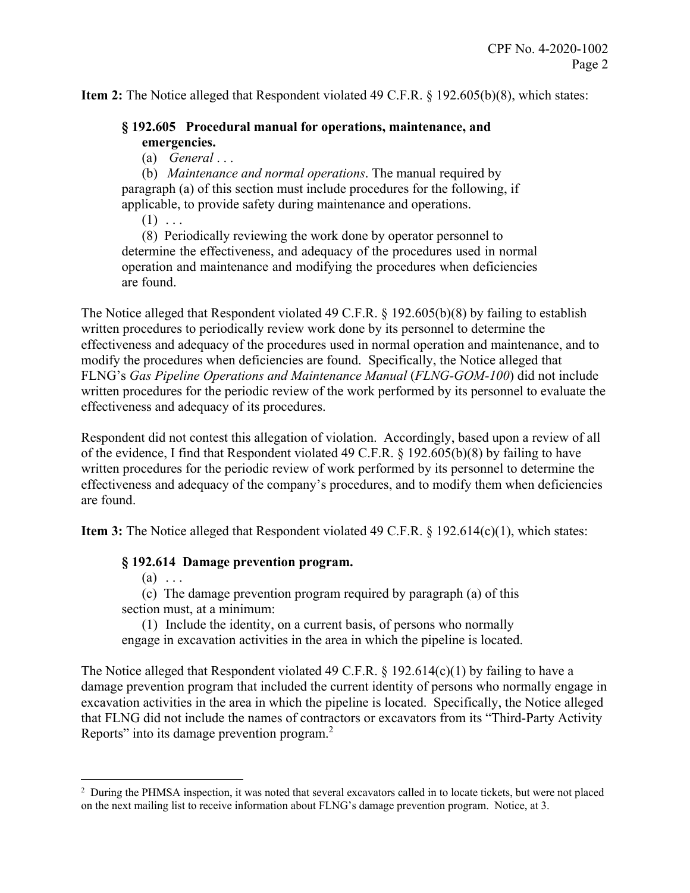**Item 2:** The Notice alleged that Respondent violated 49 C.F.R. § 192.605(b)(8), which states:

### **§ 192.605 Procedural manual for operations, maintenance, and emergencies.**

(a) *General* . . .

(b) *Maintenance and normal operations*. The manual required by paragraph (a) of this section must include procedures for the following, if applicable, to provide safety during maintenance and operations.

 $(1)$  ...

(8) Periodically reviewing the work done by operator personnel to determine the effectiveness, and adequacy of the procedures used in normal operation and maintenance and modifying the procedures when deficiencies are found.

The Notice alleged that Respondent violated 49 C.F.R. § 192.605(b)(8) by failing to establish written procedures to periodically review work done by its personnel to determine the effectiveness and adequacy of the procedures used in normal operation and maintenance, and to modify the procedures when deficiencies are found. Specifically, the Notice alleged that FLNG's *Gas Pipeline Operations and Maintenance Manual* (*FLNG-GOM-100*) did not include written procedures for the periodic review of the work performed by its personnel to evaluate the effectiveness and adequacy of its procedures.

Respondent did not contest this allegation of violation. Accordingly, based upon a review of all of the evidence, I find that Respondent violated 49 C.F.R. § 192.605(b)(8) by failing to have written procedures for the periodic review of work performed by its personnel to determine the effectiveness and adequacy of the company's procedures, and to modify them when deficiencies are found.

**Item 3:** The Notice alleged that Respondent violated 49 C.F.R. § 192.614(c)(1), which states:

### **§ 192.614 Damage prevention program.**

 $(a) \ldots$ 

 $\overline{a}$ 

(c) The damage prevention program required by paragraph (a) of this section must, at a minimum:

(1) Include the identity, on a current basis, of persons who normally engage in excavation activities in the area in which the pipeline is located.

The Notice alleged that Respondent violated 49 C.F.R.  $\S$  192.614(c)(1) by failing to have a damage prevention program that included the current identity of persons who normally engage in excavation activities in the area in which the pipeline is located. Specifically, the Notice alleged that FLNG did not include the names of contractors or excavators from its "Third-Party Activity Reports" into its damage prevention program.<sup>2</sup>

<sup>&</sup>lt;sup>2</sup> During the PHMSA inspection, it was noted that several excavators called in to locate tickets, but were not placed on the next mailing list to receive information about FLNG's damage prevention program. Notice, at 3.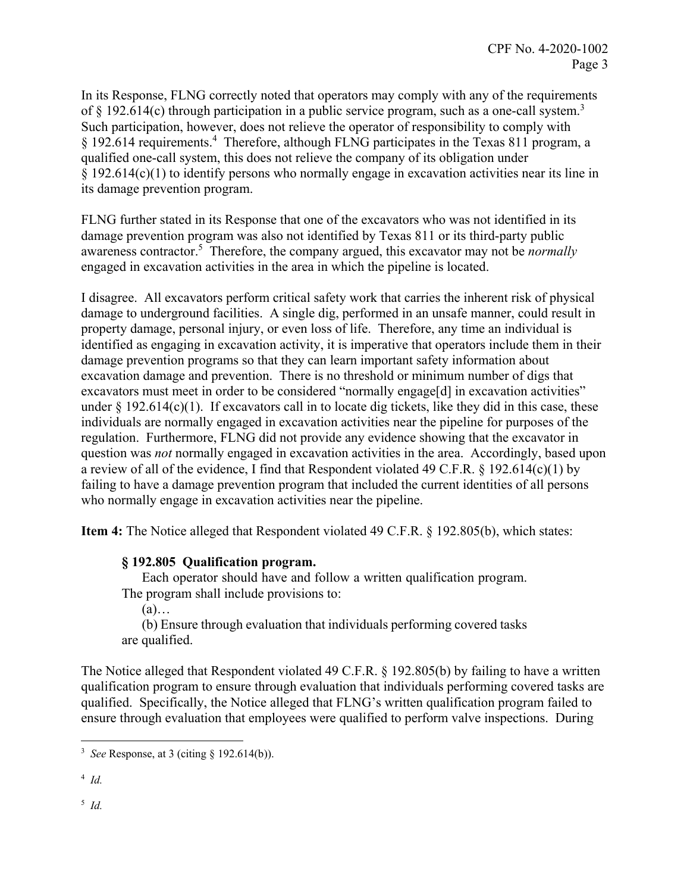In its Response, FLNG correctly noted that operators may comply with any of the requirements of  $\S$  192.614(c) through participation in a public service program, such as a one-call system.<sup>3</sup> Such participation, however, does not relieve the operator of responsibility to comply with § 192.614 requirements.<sup>4</sup> Therefore, although FLNG participates in the Texas 811 program, a qualified one-call system, this does not relieve the company of its obligation under § 192.614(c)(1) to identify persons who normally engage in excavation activities near its line in its damage prevention program.

FLNG further stated in its Response that one of the excavators who was not identified in its damage prevention program was also not identified by Texas 811 or its third-party public awareness contractor.<sup>5</sup> Therefore, the company argued, this excavator may not be *normally* engaged in excavation activities in the area in which the pipeline is located.

I disagree. All excavators perform critical safety work that carries the inherent risk of physical damage to underground facilities. A single dig, performed in an unsafe manner, could result in property damage, personal injury, or even loss of life. Therefore, any time an individual is identified as engaging in excavation activity, it is imperative that operators include them in their damage prevention programs so that they can learn important safety information about excavation damage and prevention. There is no threshold or minimum number of digs that excavators must meet in order to be considered "normally engage[d] in excavation activities" under  $\S$  192.614(c)(1). If excavators call in to locate dig tickets, like they did in this case, these individuals are normally engaged in excavation activities near the pipeline for purposes of the regulation. Furthermore, FLNG did not provide any evidence showing that the excavator in question was *not* normally engaged in excavation activities in the area. Accordingly, based upon a review of all of the evidence, I find that Respondent violated 49 C.F.R. § 192.614(c)(1) by failing to have a damage prevention program that included the current identities of all persons who normally engage in excavation activities near the pipeline.

**Item 4:** The Notice alleged that Respondent violated 49 C.F.R. § 192.805(b), which states:

### **§ 192.805 Qualification program.**

Each operator should have and follow a written qualification program. The program shall include provisions to:

 $(a)$ …

(b) Ensure through evaluation that individuals performing covered tasks are qualified.

The Notice alleged that Respondent violated 49 C.F.R. § 192.805(b) by failing to have a written qualification program to ensure through evaluation that individuals performing covered tasks are qualified. Specifically, the Notice alleged that FLNG's written qualification program failed to ensure through evaluation that employees were qualified to perform valve inspections. During

<sup>4</sup>*Id.* 

5 *Id.* 

 $\overline{a}$ <sup>3</sup>*See* Response, at 3 (citing § 192.614(b)).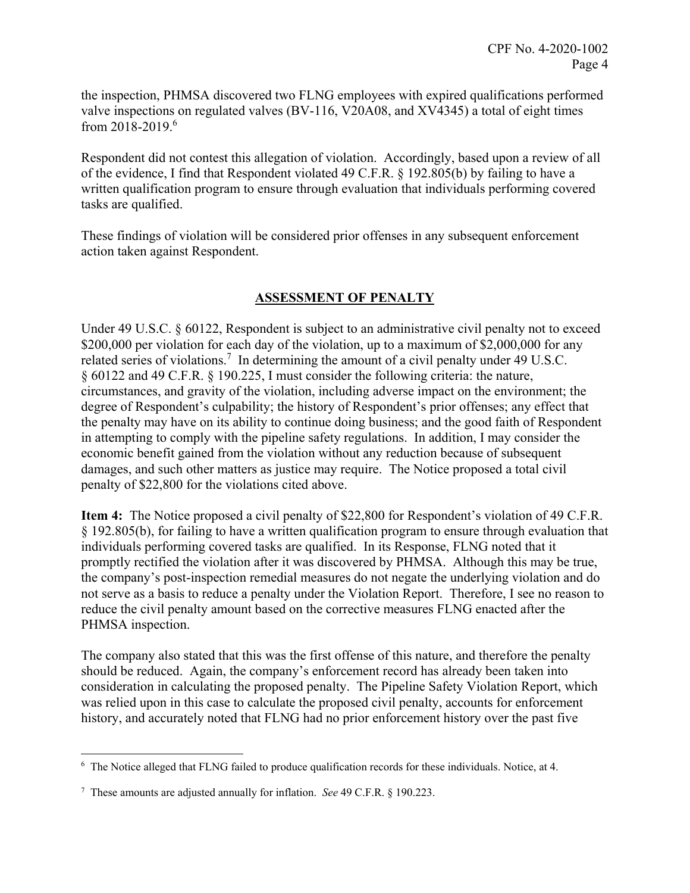from 2018-2019.<sup>6</sup> the inspection, PHMSA discovered two FLNG employees with expired qualifications performed valve inspections on regulated valves (BV-116, V20A08, and XV4345) a total of eight times

Respondent did not contest this allegation of violation. Accordingly, based upon a review of all of the evidence, I find that Respondent violated 49 C.F.R. § 192.805(b) by failing to have a written qualification program to ensure through evaluation that individuals performing covered tasks are qualified.

These findings of violation will be considered prior offenses in any subsequent enforcement action taken against Respondent.

# **ASSESSMENT OF PENALTY**

Under 49 U.S.C. § 60122, Respondent is subject to an administrative civil penalty not to exceed \$200,000 per violation for each day of the violation, up to a maximum of \$2,000,000 for any related series of violations.<sup>7</sup> In determining the amount of a civil penalty under 49 U.S.C. § 60122 and 49 C.F.R. § 190.225, I must consider the following criteria: the nature, circumstances, and gravity of the violation, including adverse impact on the environment; the degree of Respondent's culpability; the history of Respondent's prior offenses; any effect that the penalty may have on its ability to continue doing business; and the good faith of Respondent in attempting to comply with the pipeline safety regulations. In addition, I may consider the economic benefit gained from the violation without any reduction because of subsequent damages, and such other matters as justice may require. The Notice proposed a total civil penalty of \$22,800 for the violations cited above.

**Item 4:** The Notice proposed a civil penalty of \$22,800 for Respondent's violation of 49 C.F.R. § 192.805(b), for failing to have a written qualification program to ensure through evaluation that individuals performing covered tasks are qualified. In its Response, FLNG noted that it promptly rectified the violation after it was discovered by PHMSA. Although this may be true, the company's post-inspection remedial measures do not negate the underlying violation and do not serve as a basis to reduce a penalty under the Violation Report. Therefore, I see no reason to reduce the civil penalty amount based on the corrective measures FLNG enacted after the PHMSA inspection.

The company also stated that this was the first offense of this nature, and therefore the penalty should be reduced. Again, the company's enforcement record has already been taken into consideration in calculating the proposed penalty. The Pipeline Safety Violation Report, which was relied upon in this case to calculate the proposed civil penalty, accounts for enforcement history, and accurately noted that FLNG had no prior enforcement history over the past five

 6 The Notice alleged that FLNG failed to produce qualification records for these individuals. Notice, at 4.

<sup>7</sup> These amounts are adjusted annually for inflation. *See* 49 C.F.R. § 190.223.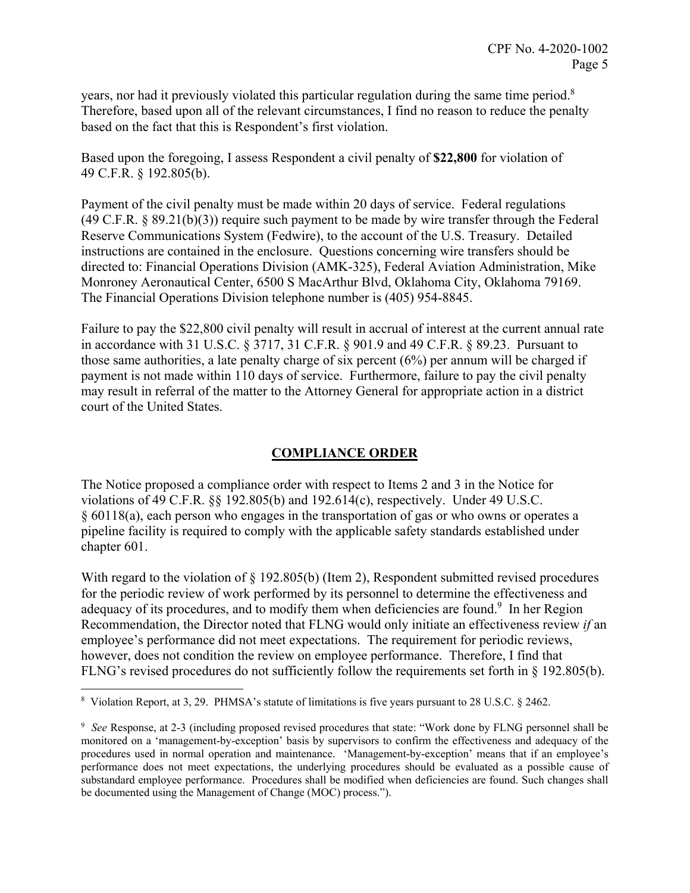years, nor had it previously violated this particular regulation during the same time period.<sup>8</sup> Therefore, based upon all of the relevant circumstances, I find no reason to reduce the penalty based on the fact that this is Respondent's first violation.

Based upon the foregoing, I assess Respondent a civil penalty of **\$22,800** for violation of 49 C.F.R. § 192.805(b).

Payment of the civil penalty must be made within 20 days of service. Federal regulations (49 C.F.R. § 89.21(b)(3)) require such payment to be made by wire transfer through the Federal Reserve Communications System (Fedwire), to the account of the U.S. Treasury. Detailed instructions are contained in the enclosure. Questions concerning wire transfers should be directed to: Financial Operations Division (AMK-325), Federal Aviation Administration, Mike Monroney Aeronautical Center, 6500 S MacArthur Blvd, Oklahoma City, Oklahoma 79169. The Financial Operations Division telephone number is (405) 954-8845.

Failure to pay the \$22,800 civil penalty will result in accrual of interest at the current annual rate in accordance with 31 U.S.C. § 3717, 31 C.F.R. § 901.9 and 49 C.F.R. § 89.23. Pursuant to those same authorities, a late penalty charge of six percent (6%) per annum will be charged if payment is not made within 110 days of service. Furthermore, failure to pay the civil penalty may result in referral of the matter to the Attorney General for appropriate action in a district court of the United States.

# **COMPLIANCE ORDER**

The Notice proposed a compliance order with respect to Items 2 and 3 in the Notice for violations of 49 C.F.R. §§ 192.805(b) and 192.614(c), respectively. Under 49 U.S.C. § 60118(a), each person who engages in the transportation of gas or who owns or operates a pipeline facility is required to comply with the applicable safety standards established under chapter 601.

With regard to the violation of  $\S 192.805(b)$  (Item 2), Respondent submitted revised procedures for the periodic review of work performed by its personnel to determine the effectiveness and adequacy of its procedures, and to modify them when deficiencies are found.<sup>9</sup> In her Region Recommendation, the Director noted that FLNG would only initiate an effectiveness review *if* an employee's performance did not meet expectations. The requirement for periodic reviews, however, does not condition the review on employee performance. Therefore, I find that FLNG's revised procedures do not sufficiently follow the requirements set forth in § 192.805(b).

 $\overline{a}$ 8 Violation Report, at 3, 29. PHMSA's statute of limitations is five years pursuant to 28 U.S.C. § 2462.

 <sup>9</sup>*See* Response, at 2-3 (including proposed revised procedures that state: "Work done by FLNG personnel shall be procedures used in normal operation and maintenance. 'Management-by-exception' means that if an employee's monitored on a 'management-by-exception' basis by supervisors to confirm the effectiveness and adequacy of the performance does not meet expectations, the underlying procedures should be evaluated as a possible cause of substandard employee performance. Procedures shall be modified when deficiencies are found. Such changes shall be documented using the Management of Change (MOC) process.").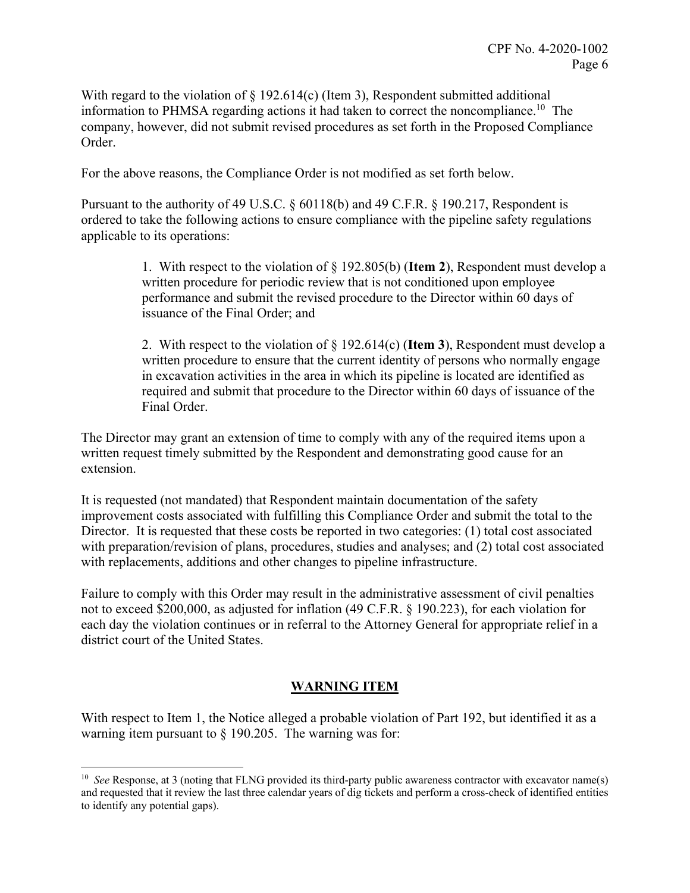With regard to the violation of  $\S$  192.614(c) (Item 3), Respondent submitted additional information to PHMSA regarding actions it had taken to correct the noncompliance.<sup>10</sup> The company, however, did not submit revised procedures as set forth in the Proposed Compliance Order.

For the above reasons, the Compliance Order is not modified as set forth below.

Pursuant to the authority of 49 U.S.C. § 60118(b) and 49 C.F.R. § 190.217, Respondent is ordered to take the following actions to ensure compliance with the pipeline safety regulations applicable to its operations:

> 1. With respect to the violation of § 192.805(b) (**Item 2**), Respondent must develop a written procedure for periodic review that is not conditioned upon employee performance and submit the revised procedure to the Director within 60 days of issuance of the Final Order; and

> 2. With respect to the violation of § 192.614(c) (**Item 3**), Respondent must develop a written procedure to ensure that the current identity of persons who normally engage in excavation activities in the area in which its pipeline is located are identified as required and submit that procedure to the Director within 60 days of issuance of the Final Order.

The Director may grant an extension of time to comply with any of the required items upon a written request timely submitted by the Respondent and demonstrating good cause for an extension.

It is requested (not mandated) that Respondent maintain documentation of the safety improvement costs associated with fulfilling this Compliance Order and submit the total to the Director. It is requested that these costs be reported in two categories: (1) total cost associated with preparation/revision of plans, procedures, studies and analyses; and (2) total cost associated with replacements, additions and other changes to pipeline infrastructure.

Failure to comply with this Order may result in the administrative assessment of civil penalties not to exceed \$200,000, as adjusted for inflation (49 C.F.R. § 190.223), for each violation for each day the violation continues or in referral to the Attorney General for appropriate relief in a district court of the United States.

# **WARNING ITEM**

With respect to Item 1, the Notice alleged a probable violation of Part 192, but identified it as a warning item pursuant to  $\frac{1}{2}$  190.205. The warning was for:

 $\overline{a}$ 

 <sup>10</sup>*See* Response, at 3 (noting that FLNG provided its third-party public awareness contractor with excavator name(s) and requested that it review the last three calendar years of dig tickets and perform a cross-check of identified entities to identify any potential gaps).